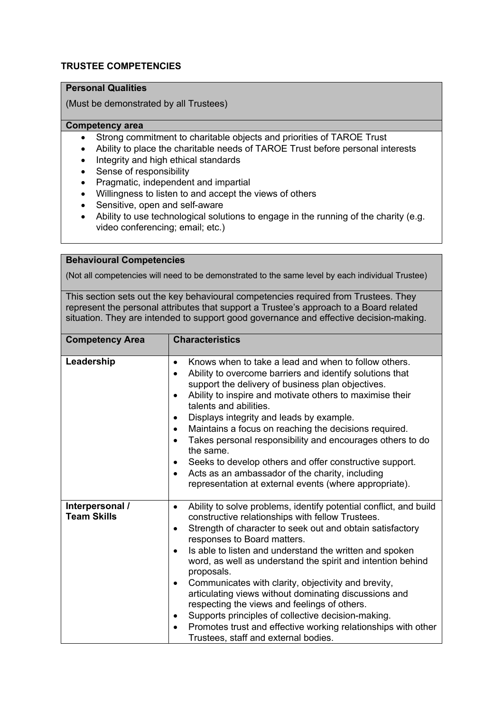## **TRUSTEE COMPETENCIES**

## **Personal Qualities**

(Must be demonstrated by all Trustees)

#### **Competency area**

- Strong commitment to charitable objects and priorities of TAROE Trust
- Ability to place the charitable needs of TAROE Trust before personal interests
- Integrity and high ethical standards
- Sense of responsibility
- Pragmatic, independent and impartial
- Willingness to listen to and accept the views of others
- Sensitive, open and self-aware
- Ability to use technological solutions to engage in the running of the charity (e.g. video conferencing; email; etc.)

#### **Behavioural Competencies**

(Not all competencies will need to be demonstrated to the same level by each individual Trustee)

This section sets out the key behavioural competencies required from Trustees. They represent the personal attributes that support a Trustee's approach to a Board related situation. They are intended to support good governance and effective decision-making.

| <b>Competency Area</b>                | <b>Characteristics</b>                                                                                                                                                                                                                                                                                                                                                                                                                                                                                                                                                                                                                                                                                                                                 |  |  |
|---------------------------------------|--------------------------------------------------------------------------------------------------------------------------------------------------------------------------------------------------------------------------------------------------------------------------------------------------------------------------------------------------------------------------------------------------------------------------------------------------------------------------------------------------------------------------------------------------------------------------------------------------------------------------------------------------------------------------------------------------------------------------------------------------------|--|--|
|                                       |                                                                                                                                                                                                                                                                                                                                                                                                                                                                                                                                                                                                                                                                                                                                                        |  |  |
| Leadership                            | Knows when to take a lead and when to follow others.<br>$\bullet$<br>Ability to overcome barriers and identify solutions that<br>$\bullet$<br>support the delivery of business plan objectives.<br>Ability to inspire and motivate others to maximise their<br>$\bullet$<br>talents and abilities.<br>Displays integrity and leads by example.<br>$\bullet$<br>Maintains a focus on reaching the decisions required.<br>٠<br>Takes personal responsibility and encourages others to do<br>$\bullet$<br>the same.<br>Seeks to develop others and offer constructive support.<br>$\bullet$<br>Acts as an ambassador of the charity, including<br>$\bullet$<br>representation at external events (where appropriate).                                     |  |  |
| Interpersonal /<br><b>Team Skills</b> | Ability to solve problems, identify potential conflict, and build<br>$\bullet$<br>constructive relationships with fellow Trustees.<br>Strength of character to seek out and obtain satisfactory<br>$\bullet$<br>responses to Board matters.<br>Is able to listen and understand the written and spoken<br>$\bullet$<br>word, as well as understand the spirit and intention behind<br>proposals.<br>Communicates with clarity, objectivity and brevity,<br>٠<br>articulating views without dominating discussions and<br>respecting the views and feelings of others.<br>Supports principles of collective decision-making.<br>٠<br>Promotes trust and effective working relationships with other<br>$\bullet$<br>Trustees, staff and external bodies. |  |  |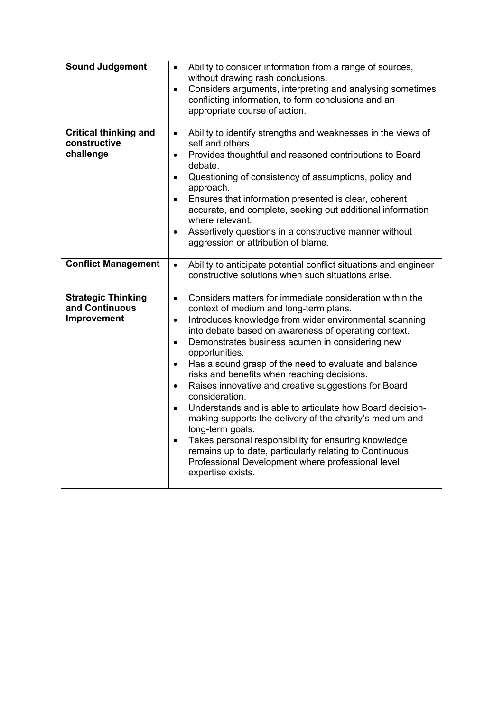| <b>Sound Judgement</b>                                     | Ability to consider information from a range of sources,<br>$\bullet$<br>without drawing rash conclusions.<br>Considers arguments, interpreting and analysing sometimes<br>$\bullet$<br>conflicting information, to form conclusions and an<br>appropriate course of action.                                                                                                                                                                                                                                                                                                                                                                                                                                                                                                                                                                                                                                     |
|------------------------------------------------------------|------------------------------------------------------------------------------------------------------------------------------------------------------------------------------------------------------------------------------------------------------------------------------------------------------------------------------------------------------------------------------------------------------------------------------------------------------------------------------------------------------------------------------------------------------------------------------------------------------------------------------------------------------------------------------------------------------------------------------------------------------------------------------------------------------------------------------------------------------------------------------------------------------------------|
| <b>Critical thinking and</b><br>constructive<br>challenge  | Ability to identify strengths and weaknesses in the views of<br>$\bullet$<br>self and others.<br>Provides thoughtful and reasoned contributions to Board<br>$\bullet$<br>debate.<br>Questioning of consistency of assumptions, policy and<br>$\bullet$<br>approach.<br>Ensures that information presented is clear, coherent<br>$\bullet$<br>accurate, and complete, seeking out additional information<br>where relevant.<br>Assertively questions in a constructive manner without<br>$\bullet$<br>aggression or attribution of blame.                                                                                                                                                                                                                                                                                                                                                                         |
| <b>Conflict Management</b>                                 | Ability to anticipate potential conflict situations and engineer<br>$\bullet$<br>constructive solutions when such situations arise.                                                                                                                                                                                                                                                                                                                                                                                                                                                                                                                                                                                                                                                                                                                                                                              |
| <b>Strategic Thinking</b><br>and Continuous<br>Improvement | Considers matters for immediate consideration within the<br>$\bullet$<br>context of medium and long-term plans.<br>Introduces knowledge from wider environmental scanning<br>$\bullet$<br>into debate based on awareness of operating context.<br>Demonstrates business acumen in considering new<br>$\bullet$<br>opportunities.<br>Has a sound grasp of the need to evaluate and balance<br>$\bullet$<br>risks and benefits when reaching decisions.<br>Raises innovative and creative suggestions for Board<br>$\bullet$<br>consideration.<br>Understands and is able to articulate how Board decision-<br>$\bullet$<br>making supports the delivery of the charity's medium and<br>long-term goals.<br>Takes personal responsibility for ensuring knowledge<br>$\bullet$<br>remains up to date, particularly relating to Continuous<br>Professional Development where professional level<br>expertise exists. |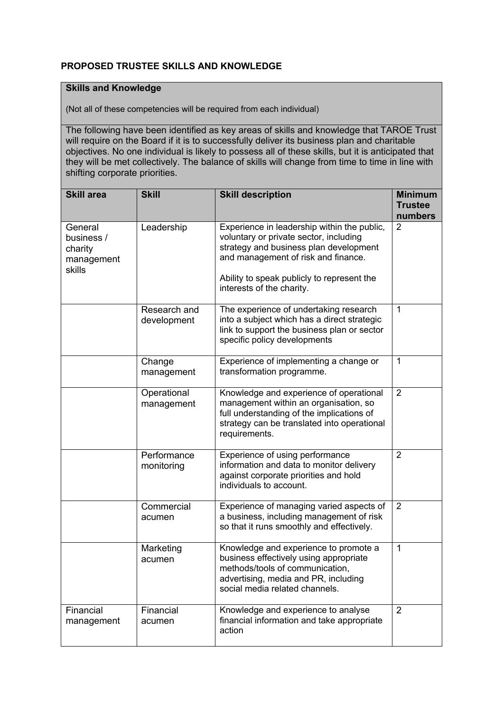# **PROPOSED TRUSTEE SKILLS AND KNOWLEDGE**

## **Skills and Knowledge**

(Not all of these competencies will be required from each individual)

The following have been identified as key areas of skills and knowledge that TAROE Trust will require on the Board if it is to successfully deliver its business plan and charitable objectives. No one individual is likely to possess all of these skills, but it is anticipated that they will be met collectively. The balance of skills will change from time to time in line with shifting corporate priorities.

| <b>Skill area</b>                                        | <b>Skill</b>                | <b>Skill description</b>                                                                                                                                                                                                                          | <b>Minimum</b><br><b>Trustee</b> |
|----------------------------------------------------------|-----------------------------|---------------------------------------------------------------------------------------------------------------------------------------------------------------------------------------------------------------------------------------------------|----------------------------------|
| General<br>business /<br>charity<br>management<br>skills | Leadership                  | Experience in leadership within the public,<br>voluntary or private sector, including<br>strategy and business plan development<br>and management of risk and finance.<br>Ability to speak publicly to represent the<br>interests of the charity. | numbers<br>$\overline{2}$        |
|                                                          | Research and<br>development | The experience of undertaking research<br>into a subject which has a direct strategic<br>link to support the business plan or sector<br>specific policy developments                                                                              | $\mathbf 1$                      |
|                                                          | Change<br>management        | Experience of implementing a change or<br>transformation programme.                                                                                                                                                                               | $\mathbf 1$                      |
|                                                          | Operational<br>management   | Knowledge and experience of operational<br>management within an organisation, so<br>full understanding of the implications of<br>strategy can be translated into operational<br>requirements.                                                     | $\overline{2}$                   |
|                                                          | Performance<br>monitoring   | Experience of using performance<br>information and data to monitor delivery<br>against corporate priorities and hold<br>individuals to account.                                                                                                   | $\overline{2}$                   |
|                                                          | Commercial<br>acumen        | Experience of managing varied aspects of<br>a business, including management of risk<br>so that it runs smoothly and effectively.                                                                                                                 | $\overline{2}$                   |
|                                                          | Marketing<br>acumen         | Knowledge and experience to promote a<br>business effectively using appropriate<br>methods/tools of communication,<br>advertising, media and PR, including<br>social media related channels.                                                      | 1                                |
| Financial<br>management                                  | Financial<br>acumen         | Knowledge and experience to analyse<br>financial information and take appropriate<br>action                                                                                                                                                       | $\overline{2}$                   |